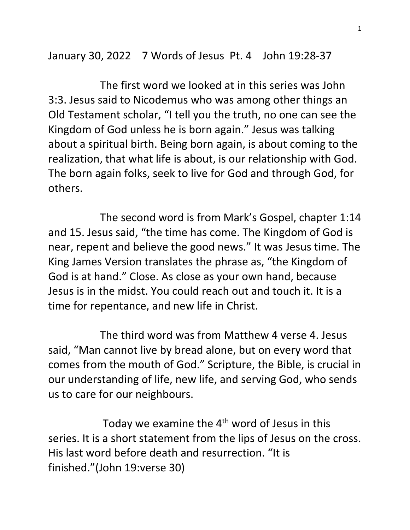January 30, 2022 7 Words of Jesus Pt. 4 John 19:28-37

 The first word we looked at in this series was John 3:3. Jesus said to Nicodemus who was among other things an Old Testament scholar, "I tell you the truth, no one can see the Kingdom of God unless he is born again." Jesus was talking about a spiritual birth. Being born again, is about coming to the realization, that what life is about, is our relationship with God. The born again folks, seek to live for God and through God, for others.

 The second word is from Mark's Gospel, chapter 1:14 and 15. Jesus said, "the time has come. The Kingdom of God is near, repent and believe the good news." It was Jesus time. The King James Version translates the phrase as, "the Kingdom of God is at hand." Close. As close as your own hand, because Jesus is in the midst. You could reach out and touch it. It is a time for repentance, and new life in Christ.

 The third word was from Matthew 4 verse 4. Jesus said, "Man cannot live by bread alone, but on every word that comes from the mouth of God." Scripture, the Bible, is crucial in our understanding of life, new life, and serving God, who sends us to care for our neighbours.

Today we examine the  $4<sup>th</sup>$  word of Jesus in this series. It is a short statement from the lips of Jesus on the cross. His last word before death and resurrection. "It is finished."(John 19:verse 30)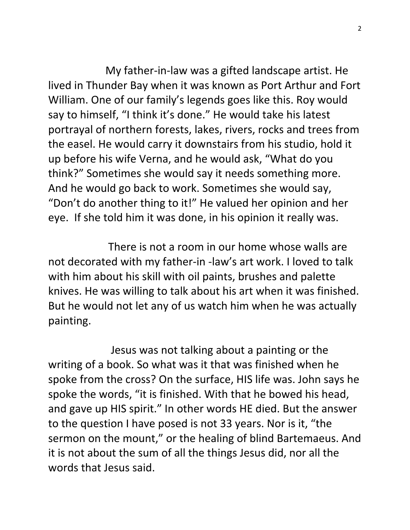My father-in-law was a gifted landscape artist. He lived in Thunder Bay when it was known as Port Arthur and Fort William. One of our family's legends goes like this. Roy would say to himself, "I think it's done." He would take his latest portrayal of northern forests, lakes, rivers, rocks and trees from the easel. He would carry it downstairs from his studio, hold it up before his wife Verna, and he would ask, "What do you think?" Sometimes she would say it needs something more. And he would go back to work. Sometimes she would say, "Don't do another thing to it!" He valued her opinion and her eye. If she told him it was done, in his opinion it really was.

 There is not a room in our home whose walls are not decorated with my father-in -law's art work. I loved to talk with him about his skill with oil paints, brushes and palette knives. He was willing to talk about his art when it was finished. But he would not let any of us watch him when he was actually painting.

 Jesus was not talking about a painting or the writing of a book. So what was it that was finished when he spoke from the cross? On the surface, HIS life was. John says he spoke the words, "it is finished. With that he bowed his head, and gave up HIS spirit." In other words HE died. But the answer to the question I have posed is not 33 years. Nor is it, "the sermon on the mount," or the healing of blind Bartemaeus. And it is not about the sum of all the things Jesus did, nor all the words that Jesus said.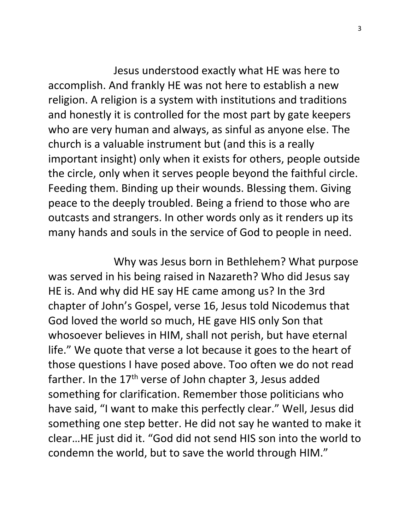Jesus understood exactly what HE was here to accomplish. And frankly HE was not here to establish a new religion. A religion is a system with institutions and traditions and honestly it is controlled for the most part by gate keepers who are very human and always, as sinful as anyone else. The church is a valuable instrument but (and this is a really important insight) only when it exists for others, people outside the circle, only when it serves people beyond the faithful circle. Feeding them. Binding up their wounds. Blessing them. Giving peace to the deeply troubled. Being a friend to those who are outcasts and strangers. In other words only as it renders up its many hands and souls in the service of God to people in need.

 Why was Jesus born in Bethlehem? What purpose was served in his being raised in Nazareth? Who did Jesus say HE is. And why did HE say HE came among us? In the 3rd chapter of John's Gospel, verse 16, Jesus told Nicodemus that God loved the world so much, HE gave HIS only Son that whosoever believes in HIM, shall not perish, but have eternal life." We quote that verse a lot because it goes to the heart of those questions I have posed above. Too often we do not read farther. In the 17<sup>th</sup> verse of John chapter 3, Jesus added something for clarification. Remember those politicians who have said, "I want to make this perfectly clear." Well, Jesus did something one step better. He did not say he wanted to make it clear…HE just did it. "God did not send HIS son into the world to condemn the world, but to save the world through HIM."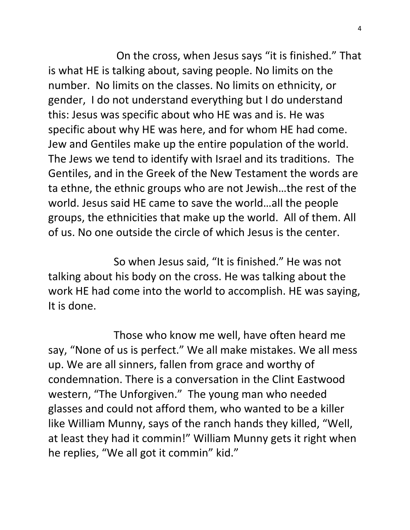On the cross, when Jesus says "it is finished." That is what HE is talking about, saving people. No limits on the number. No limits on the classes. No limits on ethnicity, or gender, I do not understand everything but I do understand this: Jesus was specific about who HE was and is. He was specific about why HE was here, and for whom HE had come. Jew and Gentiles make up the entire population of the world. The Jews we tend to identify with Israel and its traditions. The Gentiles, and in the Greek of the New Testament the words are ta ethne, the ethnic groups who are not Jewish…the rest of the world. Jesus said HE came to save the world…all the people groups, the ethnicities that make up the world. All of them. All of us. No one outside the circle of which Jesus is the center.

 So when Jesus said, "It is finished." He was not talking about his body on the cross. He was talking about the work HE had come into the world to accomplish. HE was saying, It is done.

 Those who know me well, have often heard me say, "None of us is perfect." We all make mistakes. We all mess up. We are all sinners, fallen from grace and worthy of condemnation. There is a conversation in the Clint Eastwood western, "The Unforgiven." The young man who needed glasses and could not afford them, who wanted to be a killer like William Munny, says of the ranch hands they killed, "Well, at least they had it commin!" William Munny gets it right when he replies, "We all got it commin" kid."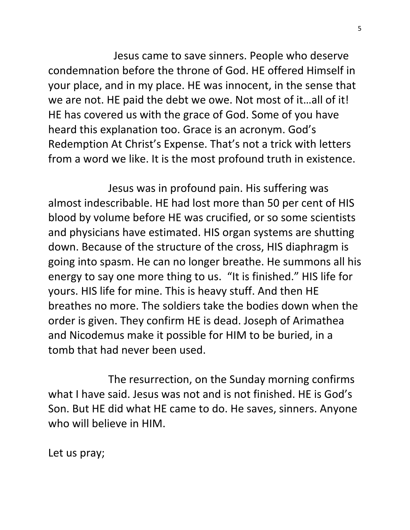Jesus came to save sinners. People who deserve condemnation before the throne of God. HE offered Himself in your place, and in my place. HE was innocent, in the sense that we are not. HE paid the debt we owe. Not most of it…all of it! HE has covered us with the grace of God. Some of you have heard this explanation too. Grace is an acronym. God's Redemption At Christ's Expense. That's not a trick with letters from a word we like. It is the most profound truth in existence.

 Jesus was in profound pain. His suffering was almost indescribable. HE had lost more than 50 per cent of HIS blood by volume before HE was crucified, or so some scientists and physicians have estimated. HIS organ systems are shutting down. Because of the structure of the cross, HIS diaphragm is going into spasm. He can no longer breathe. He summons all his energy to say one more thing to us. "It is finished." HIS life for yours. HIS life for mine. This is heavy stuff. And then HE breathes no more. The soldiers take the bodies down when the order is given. They confirm HE is dead. Joseph of Arimathea and Nicodemus make it possible for HIM to be buried, in a tomb that had never been used.

 The resurrection, on the Sunday morning confirms what I have said. Jesus was not and is not finished. HE is God's Son. But HE did what HE came to do. He saves, sinners. Anyone who will believe in HIM.

Let us pray;